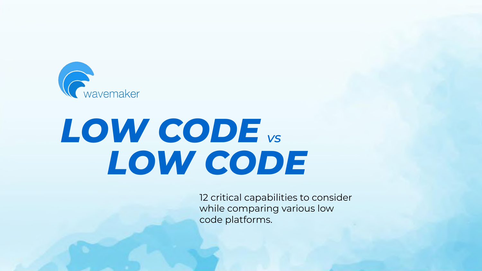

# *LOW CODE vs LOW CODE*

12 critical capabilities to consider while comparing various low code platforms.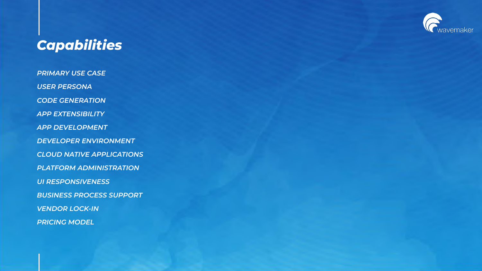

## *Capabilities*

*PRIMARY USE CASE USER PERSONA CODE GENERATION APP EXTENSIBILITY APP DEVELOPMENT DEVELOPER ENVIRONMENT CLOUD NATIVE APPLICATIONS PLATFORM ADMINISTRATION UI RESPONSIVENESS BUSINESS PROCESS SUPPORT VENDOR LOCK-IN PRICING MODEL*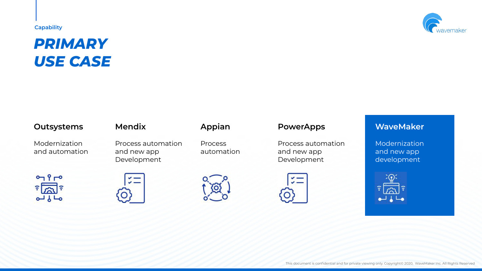## *PRIMARY USE CASE*

## **Outsystems Mendix Appian PowerApps WaveMaker**

Modernization and automation





Process automation and new app Development





Process automation



Process automation and new app Development





Modernization and new app development

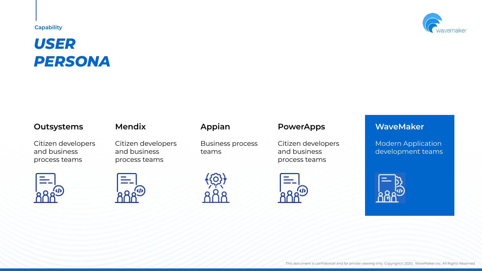## *USER PERSONA*

Citizen developers and business process teams



Citizen developers and business process teams





Business process teams





Citizen developers and business process teams



Modern Application development teams

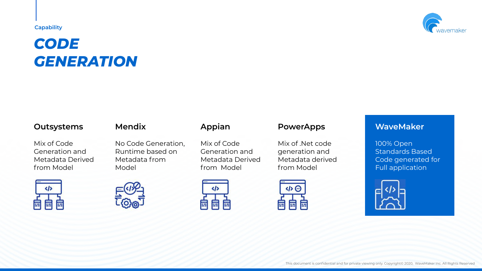## *CODE GENERATION*

Mix of Code Generation and Metadata Derived from Model





No Code Generation, Runtime based on Metadata from Model





Mix of Code Generation and Metadata Derived from Model



Mix of .Net code generation and Metadata derived from Model





100% Open Standards Based Code generated for Full application



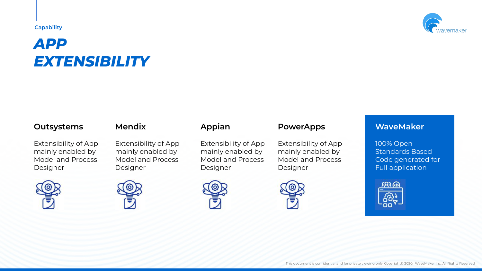## *APP EXTENSIBILITY*

### **Outsystems Mendix Appian PowerApps WaveMaker**

Extensibility of App mainly enabled by Model and Process Designer







Extensibility of App mainly enabled by Model and Process Designer



Extensibility of App mainly enabled by Model and Process Designer



Extensibility of App mainly enabled by Model and Process Designer

100% Open Standards Based Code generated for Full application



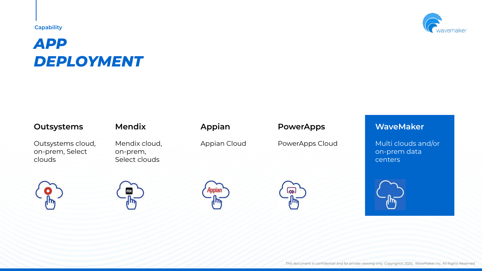## *APP DEPLOYMENT*

Outsystems cloud, on-prem, Select clouds

Mendix cloud, on-prem, Select clouds

## **Outsystems Mendix Appian PowerApps WaveMaker**

Appian Cloud PowerApps Cloud Multi clouds and/or on-prem data centers











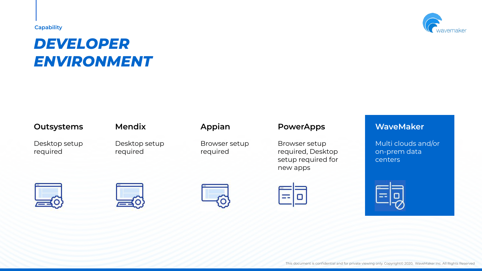## *DEVELOPER ENVIRONMENT*

Desktop setup required

Desktop setup required

Browser setup required

## **Outsystems Mendix Appian PowerApps WaveMaker**

Browser setup required, Desktop setup required for new apps

Multi clouds and/or on-prem data centers









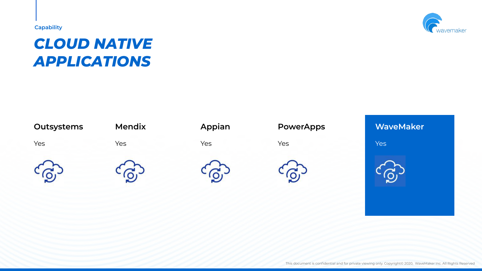## *CLOUD NATIVE APPLICATIONS*



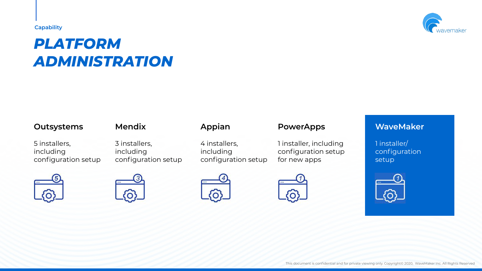## *PLATFORM ADMINISTRATION*

## **Outsystems Mendix Appian PowerApps WaveMaker**

5 installers, including configuration setup





3 installers, including configuration setup







4 installers, including



configuration setup



1 installer, including configuration setup for new apps

1 installer/ configuration setup

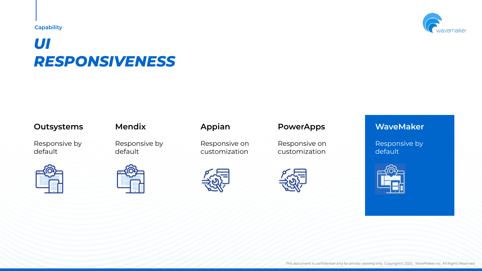## *UI RESPONSIVENESS*

## **Outsystems Mendix Appian PowerApps WaveMaker**

Responsive by default





Responsive by default





Responsive on customization





Responsive on customization



Responsive by default



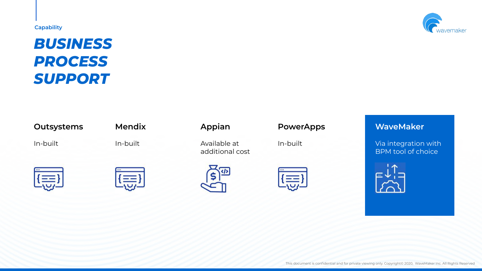## *BUSINESS PROCESS SUPPORT*





In-built In-built Available at additional cost





## **Outsystems Mendix Appian PowerApps WaveMaker**

In-built **Via integration with** BPM tool of choice



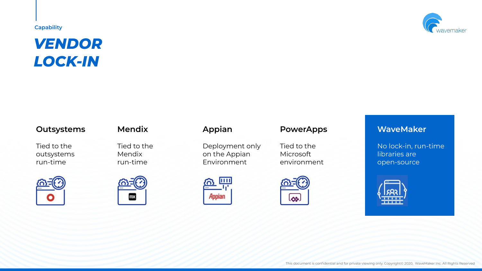## *VENDOR LOCK-IN*



Tied to the outsystems run-time



Tied to the Mendix run-time



Deployment only on the Appian Environment



Tied to the Microsoft environment



No lock-in, run-time libraries are open-source



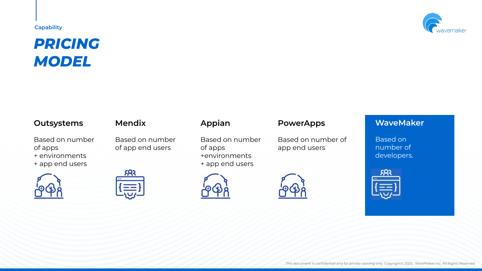## *PRICING MODEL*

Based on number of apps + environments + app end users



Based on number of app end users



Based on number of apps +environments + app end users









Based on number of app end users



Based on number of developers.